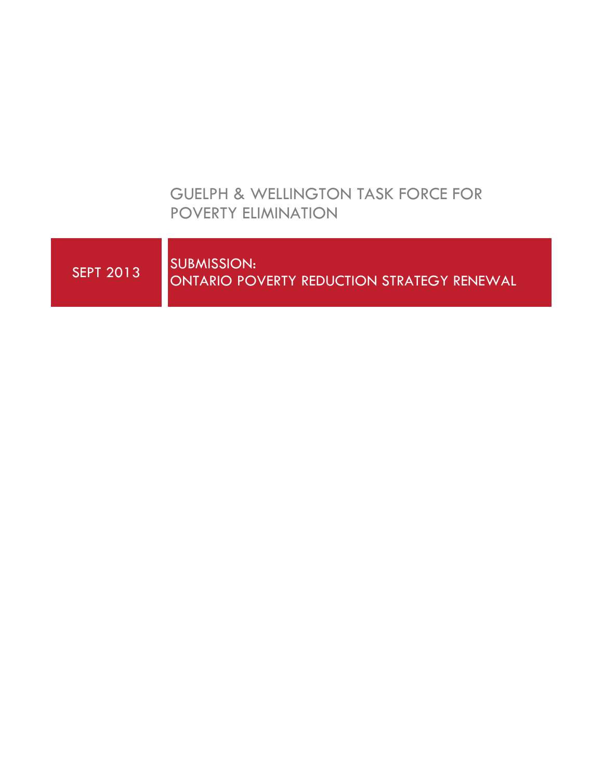# GUELPH & WELLINGTON TASK FORCE FOR POVERTY ELIMINATION

| <b>SEPT 2013</b> | <b>SUBMISSION:</b><br>ONTARIO POVERTY REDUCTION STRATEGY RENEWAL |
|------------------|------------------------------------------------------------------|
|                  |                                                                  |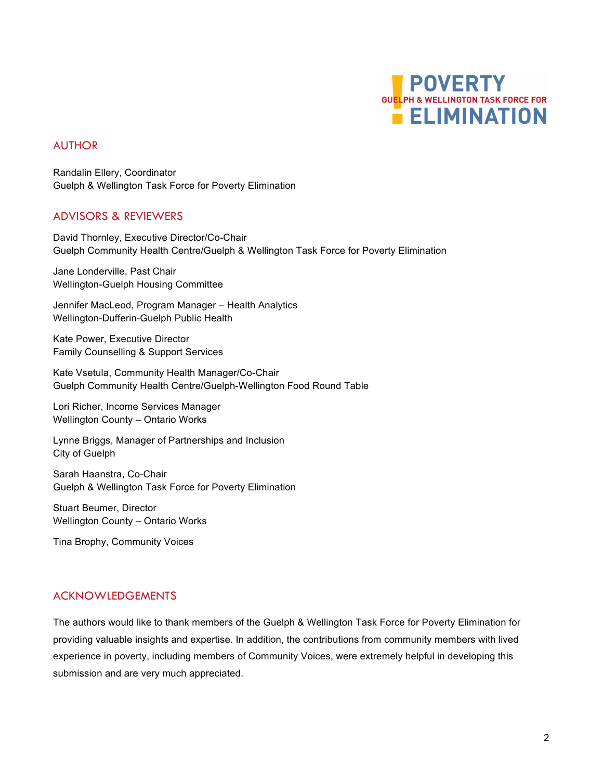

### AUTHOR

Randalin Ellery, Coordinator Guelph & Wellington Task Force for Poverty Elimination

### ADVISORS & REVIEWERS

David Thornley, Executive Director/Co-Chair Guelph Community Health Centre/Guelph & Wellington Task Force for Poverty Elimination

Jane Londerville, Past Chair Wellington-Guelph Housing Committee

Jennifer MacLeod, Program Manager – Health Analytics Wellington-Dufferin-Guelph Public Health

Kate Power, Executive Director Family Counselling & Support Services

Kate Vsetula, Community Health Manager/Co-Chair Guelph Community Health Centre/Guelph-Wellington Food Round Table

Lori Richer, Income Services Manager Wellington County – Ontario Works

Lynne Briggs, Manager of Partnerships and Inclusion City of Guelph

Sarah Haanstra, Co-Chair Guelph & Wellington Task Force for Poverty Elimination

Stuart Beumer, Director Wellington County – Ontario Works

Tina Brophy, Community Voices

## ACKNOWLEDGEMENTS

The authors would like to thank members of the Guelph & Wellington Task Force for Poverty Elimination for providing valuable insights and expertise. In addition, the contributions from community members with lived experience in poverty, including members of Community Voices, were extremely helpful in developing this submission and are very much appreciated.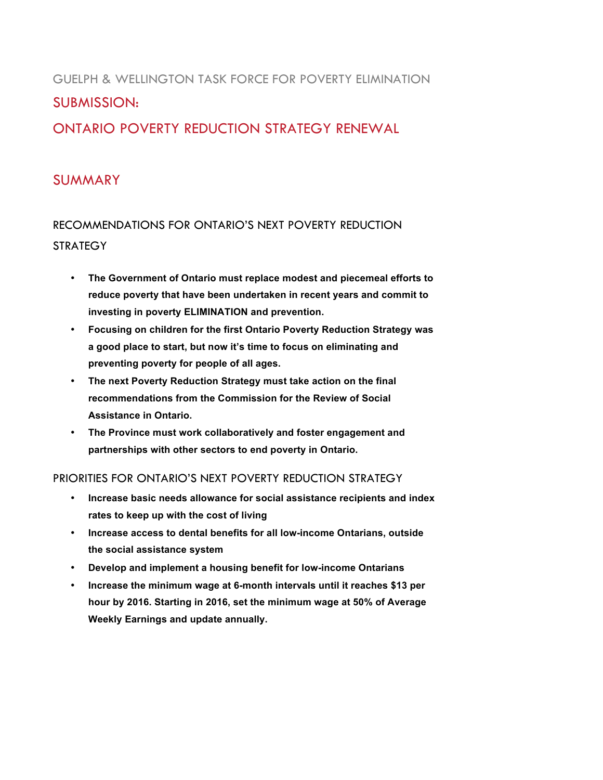# GUELPH & WELLINGTON TASK FORCE FOR POVERTY ELIMINATION SUBMISSION: ONTARIO POVERTY REDUCTION STRATEGY RENEWAL

# SUMMARY

RECOMMENDATIONS FOR ONTARIO'S NEXT POVERTY REDUCTION **STRATEGY** 

- **The Government of Ontario must replace modest and piecemeal efforts to reduce poverty that have been undertaken in recent years and commit to investing in poverty ELIMINATION and prevention.**
- **Focusing on children for the first Ontario Poverty Reduction Strategy was a good place to start, but now it's time to focus on eliminating and preventing poverty for people of all ages.**
- **The next Poverty Reduction Strategy must take action on the final recommendations from the Commission for the Review of Social Assistance in Ontario.**
- **The Province must work collaboratively and foster engagement and partnerships with other sectors to end poverty in Ontario.**

### PRIORITIES FOR ONTARIO'S NEXT POVERTY REDUCTION STRATEGY

- **Increase basic needs allowance for social assistance recipients and index rates to keep up with the cost of living**
- **Increase access to dental benefits for all low-income Ontarians, outside the social assistance system**
- **Develop and implement a housing benefit for low-income Ontarians**
- **Increase the minimum wage at 6-month intervals until it reaches \$13 per hour by 2016. Starting in 2016, set the minimum wage at 50% of Average Weekly Earnings and update annually.**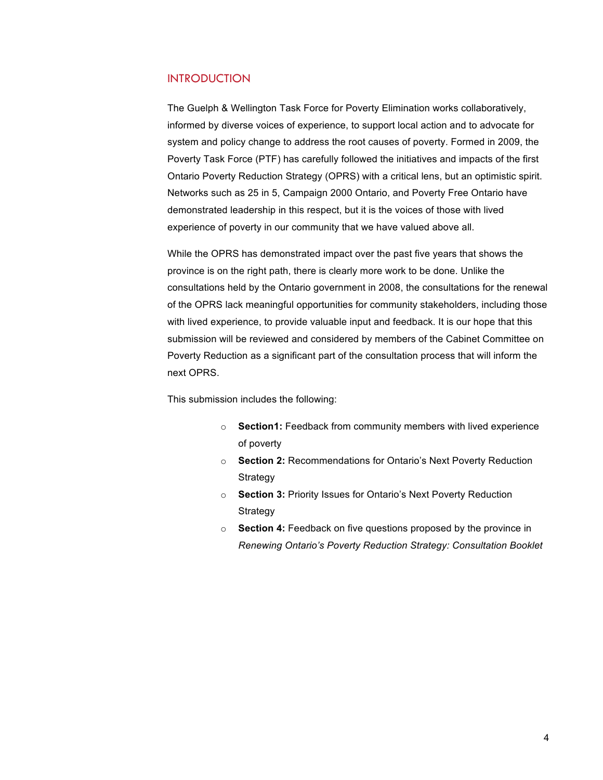### INTRODUCTION

The Guelph & Wellington Task Force for Poverty Elimination works collaboratively, informed by diverse voices of experience, to support local action and to advocate for system and policy change to address the root causes of poverty. Formed in 2009, the Poverty Task Force (PTF) has carefully followed the initiatives and impacts of the first Ontario Poverty Reduction Strategy (OPRS) with a critical lens, but an optimistic spirit. Networks such as 25 in 5, Campaign 2000 Ontario, and Poverty Free Ontario have demonstrated leadership in this respect, but it is the voices of those with lived experience of poverty in our community that we have valued above all.

While the OPRS has demonstrated impact over the past five years that shows the province is on the right path, there is clearly more work to be done. Unlike the consultations held by the Ontario government in 2008, the consultations for the renewal of the OPRS lack meaningful opportunities for community stakeholders, including those with lived experience, to provide valuable input and feedback. It is our hope that this submission will be reviewed and considered by members of the Cabinet Committee on Poverty Reduction as a significant part of the consultation process that will inform the next OPRS.

This submission includes the following:

- o **Section1:** Feedback from community members with lived experience of poverty
- o **Section 2:** Recommendations for Ontario's Next Poverty Reduction Strategy
- o **Section 3:** Priority Issues for Ontario's Next Poverty Reduction **Strategy**
- o **Section 4:** Feedback on five questions proposed by the province in *Renewing Ontario's Poverty Reduction Strategy: Consultation Booklet*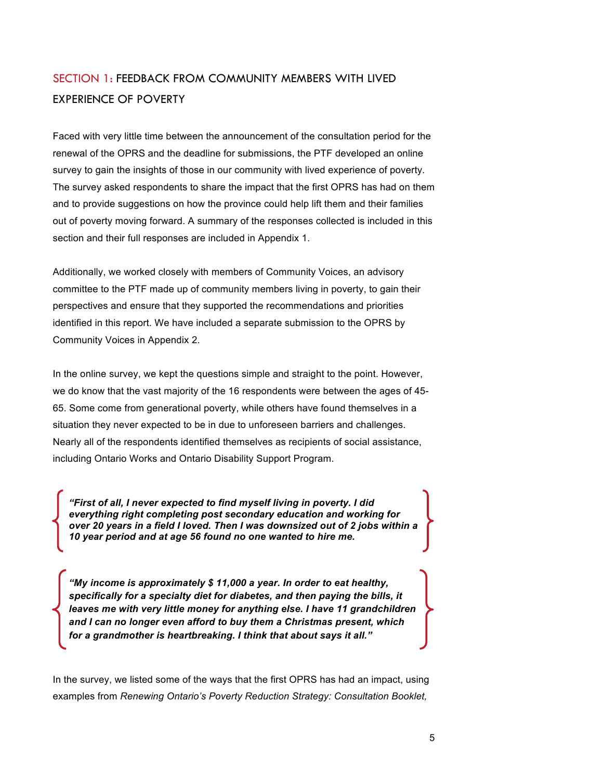# SECTION 1: FEEDBACK FROM COMMUNITY MEMBERS WITH LIVED EXPERIENCE OF POVERTY

Faced with very little time between the announcement of the consultation period for the renewal of the OPRS and the deadline for submissions, the PTF developed an online survey to gain the insights of those in our community with lived experience of poverty. The survey asked respondents to share the impact that the first OPRS has had on them and to provide suggestions on how the province could help lift them and their families out of poverty moving forward. A summary of the responses collected is included in this section and their full responses are included in Appendix 1.

Additionally, we worked closely with members of Community Voices, an advisory committee to the PTF made up of community members living in poverty, to gain their perspectives and ensure that they supported the recommendations and priorities identified in this report. We have included a separate submission to the OPRS by Community Voices in Appendix 2.

In the online survey, we kept the questions simple and straight to the point. However, we do know that the vast majority of the 16 respondents were between the ages of 45- 65. Some come from generational poverty, while others have found themselves in a situation they never expected to be in due to unforeseen barriers and challenges. Nearly all of the respondents identified themselves as recipients of social assistance, including Ontario Works and Ontario Disability Support Program.

*"First of all, I never expected to find myself living in poverty. I did everything right completing post secondary education and working for over 20 years in a field I loved. Then I was downsized out of 2 jobs within a 10 year period and at age 56 found no one wanted to hire me.*

*"My income is approximately \$ 11,000 a year. In order to eat healthy, specifically for a specialty diet for diabetes, and then paying the bills, it leaves me with very little money for anything else. I have 11 grandchildren and I can no longer even afford to buy them a Christmas present, which for a grandmother is heartbreaking. I think that about says it all."*

In the survey, we listed some of the ways that the first OPRS has had an impact, using examples from *Renewing Ontario's Poverty Reduction Strategy: Consultation Booklet,*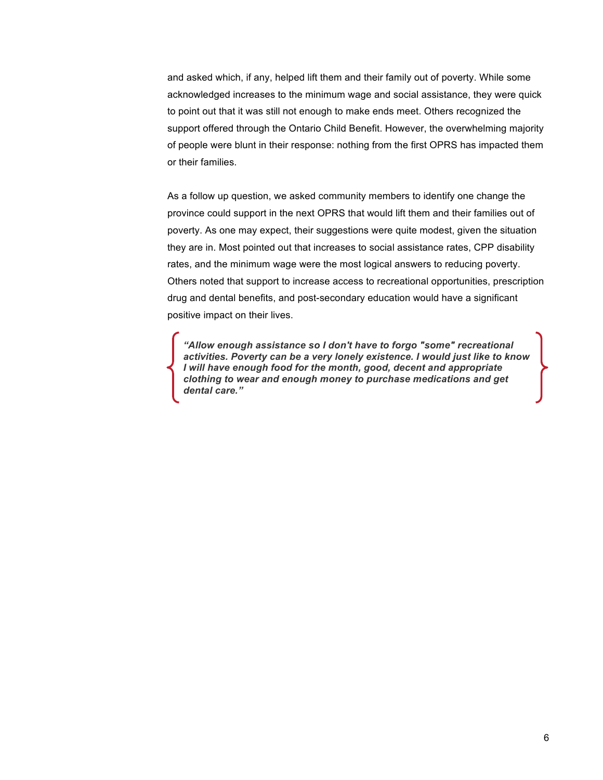and asked which, if any, helped lift them and their family out of poverty. While some acknowledged increases to the minimum wage and social assistance, they were quick to point out that it was still not enough to make ends meet. Others recognized the support offered through the Ontario Child Benefit. However, the overwhelming majority of people were blunt in their response: nothing from the first OPRS has impacted them or their families.

As a follow up question, we asked community members to identify one change the province could support in the next OPRS that would lift them and their families out of poverty. As one may expect, their suggestions were quite modest, given the situation they are in. Most pointed out that increases to social assistance rates, CPP disability rates, and the minimum wage were the most logical answers to reducing poverty. Others noted that support to increase access to recreational opportunities, prescription drug and dental benefits, and post-secondary education would have a significant positive impact on their lives.

*"Allow enough assistance so I don't have to forgo "some" recreational activities. Poverty can be a very lonely existence. I would just like to know I will have enough food for the month, good, decent and appropriate clothing to wear and enough money to purchase medications and get dental care."*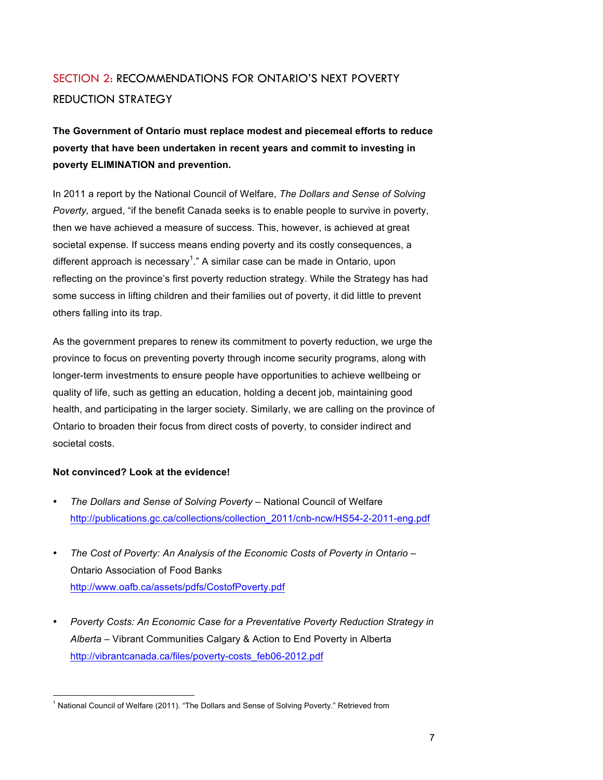# SECTION 2: RECOMMENDATIONS FOR ONTARIO'S NEXT POVERTY REDUCTION STRATEGY

**The Government of Ontario must replace modest and piecemeal efforts to reduce poverty that have been undertaken in recent years and commit to investing in poverty ELIMINATION and prevention.**

In 2011 a report by the National Council of Welfare, *The Dollars and Sense of Solving Poverty,* argued, "if the benefit Canada seeks is to enable people to survive in poverty, then we have achieved a measure of success. This, however, is achieved at great societal expense. If success means ending poverty and its costly consequences, a different approach is necessary<sup>1</sup>." A similar case can be made in Ontario, upon reflecting on the province's first poverty reduction strategy. While the Strategy has had some success in lifting children and their families out of poverty, it did little to prevent others falling into its trap.

As the government prepares to renew its commitment to poverty reduction, we urge the province to focus on preventing poverty through income security programs, along with longer-term investments to ensure people have opportunities to achieve wellbeing or quality of life, such as getting an education, holding a decent job, maintaining good health, and participating in the larger society. Similarly, we are calling on the province of Ontario to broaden their focus from direct costs of poverty, to consider indirect and societal costs.

#### **Not convinced? Look at the evidence!**

- *The Dollars and Sense of Solving Poverty* National Council of Welfare http://publications.gc.ca/collections/collection\_2011/cnb-ncw/HS54-2-2011-eng.pdf
- *The Cost of Poverty: An Analysis of the Economic Costs of Poverty in Ontario*  Ontario Association of Food Banks http://www.oafb.ca/assets/pdfs/CostofPoverty.pdf
- *Poverty Costs: An Economic Case for a Preventative Poverty Reduction Strategy in Alberta* – Vibrant Communities Calgary & Action to End Poverty in Alberta http://vibrantcanada.ca/files/poverty-costs\_feb06-2012.pdf

<sup>!!!!!!!!!!!!!!!!!!!!!!!!!!!!!!!!!!!!!!!!!!!!!!!!!!!!!!!</sup> <sup>1</sup> National Council of Welfare (2011). "The Dollars and Sense of Solving Poverty." Retrieved from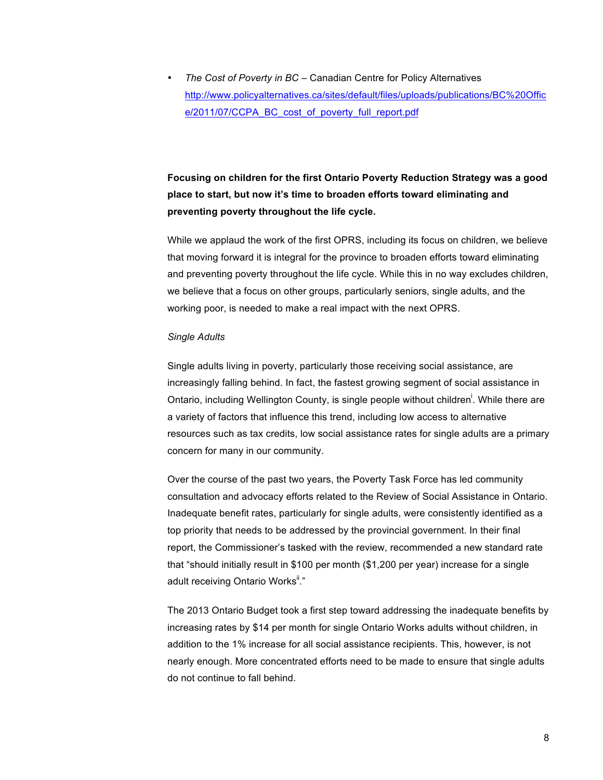• *The Cost of Poverty in BC* – Canadian Centre for Policy Alternatives http://www.policyalternatives.ca/sites/default/files/uploads/publications/BC%20Offic e/2011/07/CCPA\_BC\_cost\_of\_poverty\_full\_report.pdf

# **Focusing on children for the first Ontario Poverty Reduction Strategy was a good place to start, but now it's time to broaden efforts toward eliminating and preventing poverty throughout the life cycle.**

While we applaud the work of the first OPRS, including its focus on children, we believe that moving forward it is integral for the province to broaden efforts toward eliminating and preventing poverty throughout the life cycle. While this in no way excludes children, we believe that a focus on other groups, particularly seniors, single adults, and the working poor, is needed to make a real impact with the next OPRS.

#### *Single Adults*

Single adults living in poverty, particularly those receiving social assistance, are increasingly falling behind. In fact, the fastest growing segment of social assistance in Ontario, including Wellington County, is single people without children<sup>i</sup>. While there are a variety of factors that influence this trend, including low access to alternative resources such as tax credits, low social assistance rates for single adults are a primary concern for many in our community.

Over the course of the past two years, the Poverty Task Force has led community consultation and advocacy efforts related to the Review of Social Assistance in Ontario. Inadequate benefit rates, particularly for single adults, were consistently identified as a top priority that needs to be addressed by the provincial government. In their final report, the Commissioner's tasked with the review, recommended a new standard rate that "should initially result in \$100 per month (\$1,200 per year) increase for a single adult receiving Ontario Works"."

The 2013 Ontario Budget took a first step toward addressing the inadequate benefits by increasing rates by \$14 per month for single Ontario Works adults without children, in addition to the 1% increase for all social assistance recipients. This, however, is not nearly enough. More concentrated efforts need to be made to ensure that single adults do not continue to fall behind.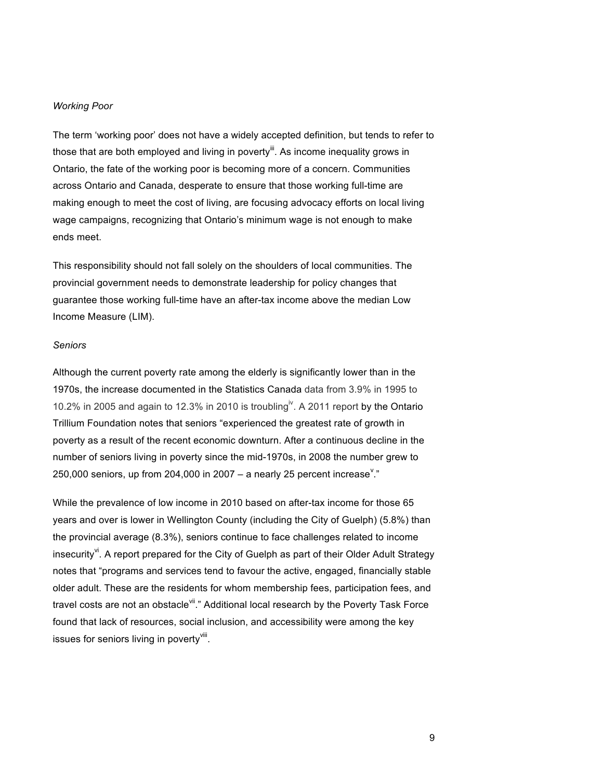#### *Working Poor*

The term 'working poor' does not have a widely accepted definition, but tends to refer to those that are both employed and living in poverty<sup>lit</sup>. As income inequality grows in Ontario, the fate of the working poor is becoming more of a concern. Communities across Ontario and Canada, desperate to ensure that those working full-time are making enough to meet the cost of living, are focusing advocacy efforts on local living wage campaigns, recognizing that Ontario's minimum wage is not enough to make ends meet.

This responsibility should not fall solely on the shoulders of local communities. The provincial government needs to demonstrate leadership for policy changes that guarantee those working full-time have an after-tax income above the median Low Income Measure (LIM).

#### *Seniors*

Although the current poverty rate among the elderly is significantly lower than in the 1970s, the increase documented in the Statistics Canada data from 3.9% in 1995 to 10.2% in 2005 and again to 12.3% in 2010 is troubling<sup>iv</sup>. A 2011 report by the Ontario Trillium Foundation notes that seniors "experienced the greatest rate of growth in poverty as a result of the recent economic downturn. After a continuous decline in the number of seniors living in poverty since the mid-1970s, in 2008 the number grew to 250,000 seniors, up from 204,000 in 2007  $-$  a nearly 25 percent increase<sup>v</sup>."

While the prevalence of low income in 2010 based on after-tax income for those 65 years and over is lower in Wellington County (including the City of Guelph) (5.8%) than the provincial average (8.3%), seniors continue to face challenges related to income insecurity<sup>v</sup>. A report prepared for the City of Guelph as part of their Older Adult Strategy notes that "programs and services tend to favour the active, engaged, financially stable older adult. These are the residents for whom membership fees, participation fees, and travel costs are not an obstacle i." Additional local research by the Poverty Task Force found that lack of resources, social inclusion, and accessibility were among the key issues for seniors living in poverty<sup>viii</sup>.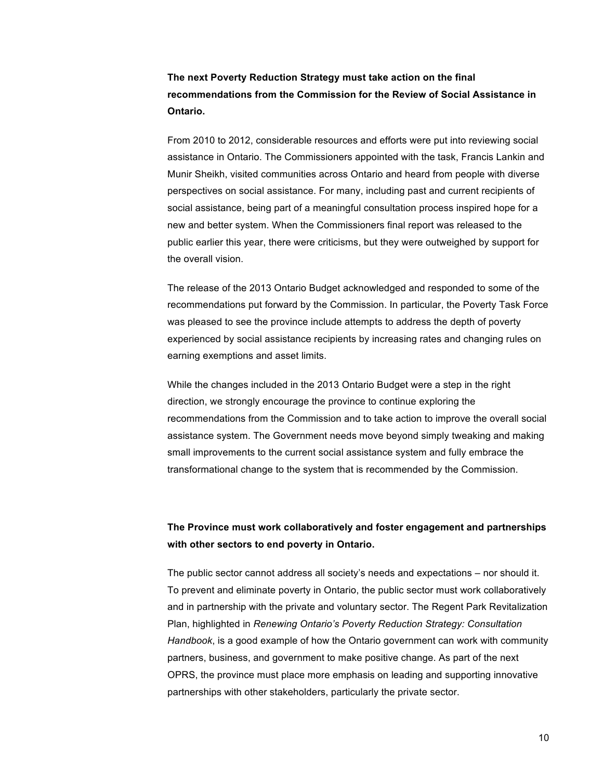## **The next Poverty Reduction Strategy must take action on the final recommendations from the Commission for the Review of Social Assistance in Ontario.**

From 2010 to 2012, considerable resources and efforts were put into reviewing social assistance in Ontario. The Commissioners appointed with the task, Francis Lankin and Munir Sheikh, visited communities across Ontario and heard from people with diverse perspectives on social assistance. For many, including past and current recipients of social assistance, being part of a meaningful consultation process inspired hope for a new and better system. When the Commissioners final report was released to the public earlier this year, there were criticisms, but they were outweighed by support for the overall vision.

The release of the 2013 Ontario Budget acknowledged and responded to some of the recommendations put forward by the Commission. In particular, the Poverty Task Force was pleased to see the province include attempts to address the depth of poverty experienced by social assistance recipients by increasing rates and changing rules on earning exemptions and asset limits.

While the changes included in the 2013 Ontario Budget were a step in the right direction, we strongly encourage the province to continue exploring the recommendations from the Commission and to take action to improve the overall social assistance system. The Government needs move beyond simply tweaking and making small improvements to the current social assistance system and fully embrace the transformational change to the system that is recommended by the Commission.

### **The Province must work collaboratively and foster engagement and partnerships with other sectors to end poverty in Ontario.**

The public sector cannot address all society's needs and expectations – nor should it. To prevent and eliminate poverty in Ontario, the public sector must work collaboratively and in partnership with the private and voluntary sector. The Regent Park Revitalization Plan, highlighted in *Renewing Ontario's Poverty Reduction Strategy: Consultation Handbook*, is a good example of how the Ontario government can work with community partners, business, and government to make positive change. As part of the next OPRS, the province must place more emphasis on leading and supporting innovative partnerships with other stakeholders, particularly the private sector.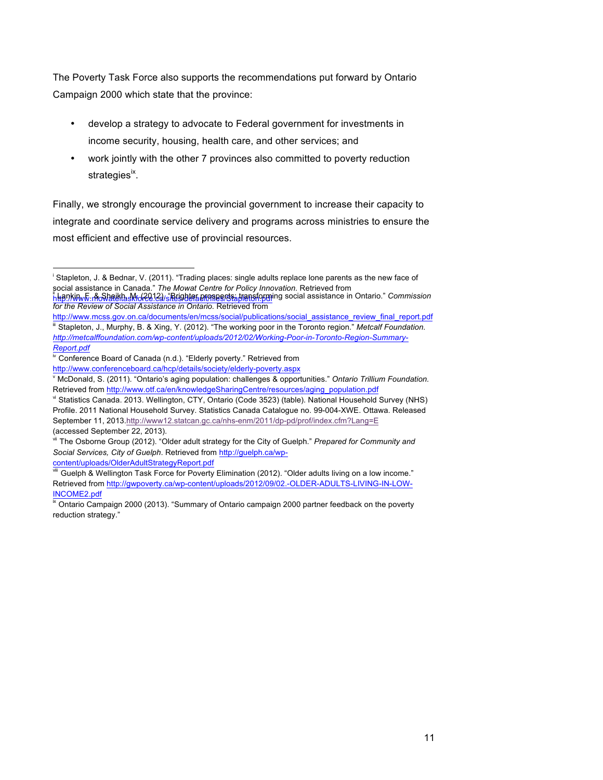The Poverty Task Force also supports the recommendations put forward by Ontario Campaign 2000 which state that the province:

- develop a strategy to advocate to Federal government for investments in income security, housing, health care, and other services; and
- work jointly with the other 7 provinces also committed to poverty reduction strategies<sup>ix</sup>.

Finally, we strongly encourage the provincial government to increase their capacity to integrate and coordinate service delivery and programs across ministries to ensure the most efficient and effective use of provincial resources.

content/uploads/OlderAdultStrategyReport.pdf

!!!!!!!!!!!!!!!!!!!!!!!!!!!!!!!!!!!!!!!!!!!!!!!!!!!!!!!

i Stapleton, J. & Bednar, V. (2011). "Trading places: single adults replace lone parents as the new face of social assistance in Canada." *The Mowat Centre for Policy Innovation*. Retrieved from **http://www.no.pdf/files/default/files/default/files/Stapleton.pdf/files/Stapleton.pdf/files/Stance in Ontario."** *Commission for the Review of Social Assistance in Ontario.* Retrieved from

http://www.mcss.gov.on.ca/documents/en/mcss/social/publications/social\_assistance\_review\_final\_report.pdf Stapleton, J., Murphy, B. & Xing, Y. (2012). "The working poor in the Toronto region." *Metcalf Foundation. http://metcalffoundation.com/wp-content/uploads/2012/02/Working-Poor-in-Toronto-Region-Summary-Report.pdf*

Conference Board of Canada (n.d.). "Elderly poverty." Retrieved from http://www.conferenceboard.ca/hcp/details/society/elderly-poverty.aspx

<sup>v</sup> McDonald, S. (2011). "Ontario's aging population: challenges & opportunities." *Ontario Trillium Foundation.*  Retrieved from http://www.otf.ca/en/knowledgeSharingCentre/resources/aging\_population.pdf

vi Statistics Canada. 2013. Wellington, CTY, Ontario (Code 3523) (table). National Household Survey (NHS) Profile. 2011 National Household Survey. Statistics Canada Catalogue no. 99-004-XWE. Ottawa. Released September 11, 2013.http://www12.statcan.gc.ca/nhs-enm/2011/dp-pd/prof/index.cfm?Lang=E (accessed September 22, 2013).

vii The Osborne Group (2012). "Older adult strategy for the City of Guelph." *Prepared for Community and Social Services, City of Guelph*. Retrieved from http://guelph.ca/wp-

Guelph & Wellington Task Force for Poverty Elimination (2012). "Older adults living on a low income." Retrieved from http://gwpoverty.ca/wp-content/uploads/2012/09/02.-OLDER-ADULTS-LIVING-IN-LOW-INCOME2.pdf

Ontario Campaign 2000 (2013). "Summary of Ontario campaign 2000 partner feedback on the poverty reduction strategy."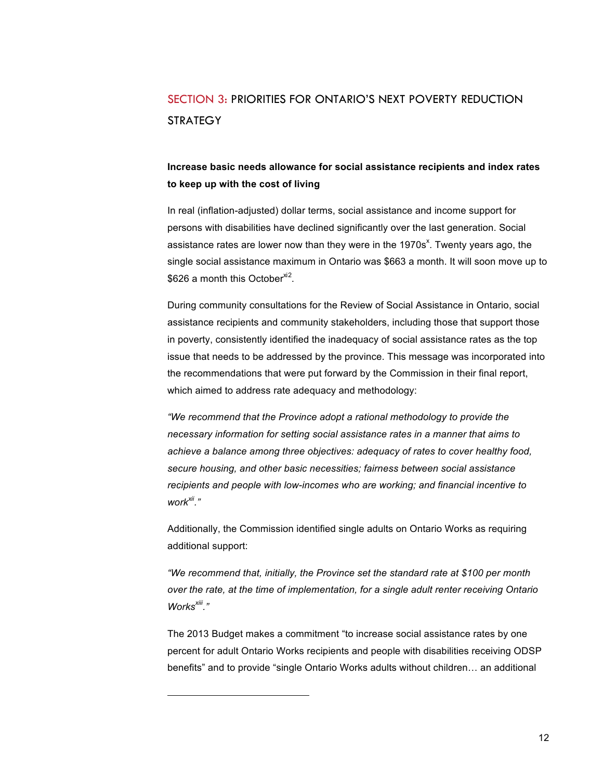# SECTION 3: PRIORITIES FOR ONTARIO'S NEXT POVERTY REDUCTION **STRATEGY**

## **Increase basic needs allowance for social assistance recipients and index rates to keep up with the cost of living**

In real (inflation-adjusted) dollar terms, social assistance and income support for persons with disabilities have declined significantly over the last generation. Social assistance rates are lower now than they were in the 1970s<sup>x</sup>. Twenty years ago, the single social assistance maximum in Ontario was \$663 a month. It will soon move up to  $$626$  a month this October<sup>xi2</sup>.

During community consultations for the Review of Social Assistance in Ontario, social assistance recipients and community stakeholders, including those that support those in poverty, consistently identified the inadequacy of social assistance rates as the top issue that needs to be addressed by the province. This message was incorporated into the recommendations that were put forward by the Commission in their final report, which aimed to address rate adequacy and methodology:

*"We recommend that the Province adopt a rational methodology to provide the necessary information for setting social assistance rates in a manner that aims to achieve a balance among three objectives: adequacy of rates to cover healthy food, secure housing, and other basic necessities; fairness between social assistance recipients and people with low-incomes who are working; and financial incentive to work xii."*

Additionally, the Commission identified single adults on Ontario Works as requiring additional support:

*"We recommend that, initially, the Province set the standard rate at \$100 per month over the rate, at the time of implementation, for a single adult renter receiving Ontario Worksxiii."* 

The 2013 Budget makes a commitment "to increase social assistance rates by one percent for adult Ontario Works recipients and people with disabilities receiving ODSP benefits" and to provide "single Ontario Works adults without children… an additional

!!!!!!!!!!!!!!!!!!!!!!!!!!!!!!!!!!!!!!!!!!!!!!!!!!!!!!!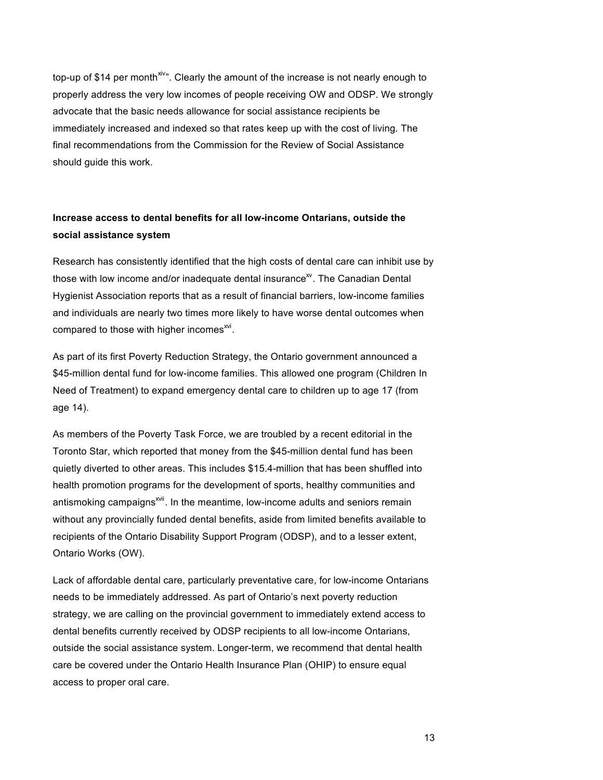top-up of \$14 per month<sup>xiv</sup>". Clearly the amount of the increase is not nearly enough to properly address the very low incomes of people receiving OW and ODSP. We strongly advocate that the basic needs allowance for social assistance recipients be immediately increased and indexed so that rates keep up with the cost of living. The final recommendations from the Commission for the Review of Social Assistance should guide this work.

## **Increase access to dental benefits for all low-income Ontarians, outside the social assistance system**

Research has consistently identified that the high costs of dental care can inhibit use by those with low income and/or inadequate dental insurance<sup> $\mathbf{x}$ </sup>. The Canadian Dental Hygienist Association reports that as a result of financial barriers, low-income families and individuals are nearly two times more likely to have worse dental outcomes when compared to those with higher incomes $^{xvi}$ .

As part of its first Poverty Reduction Strategy, the Ontario government announced a \$45-million dental fund for low-income families. This allowed one program (Children In Need of Treatment) to expand emergency dental care to children up to age 17 (from age 14).

As members of the Poverty Task Force, we are troubled by a recent editorial in the Toronto Star, which reported that money from the \$45-million dental fund has been quietly diverted to other areas. This includes \$15.4-million that has been shuffled into health promotion programs for the development of sports, healthy communities and antismoking campaigns<sup>xvii</sup>. In the meantime, low-income adults and seniors remain without any provincially funded dental benefits, aside from limited benefits available to recipients of the Ontario Disability Support Program (ODSP), and to a lesser extent, Ontario Works (OW).

Lack of affordable dental care, particularly preventative care, for low-income Ontarians needs to be immediately addressed. As part of Ontario's next poverty reduction strategy, we are calling on the provincial government to immediately extend access to dental benefits currently received by ODSP recipients to all low-income Ontarians, outside the social assistance system. Longer-term, we recommend that dental health care be covered under the Ontario Health Insurance Plan (OHIP) to ensure equal access to proper oral care.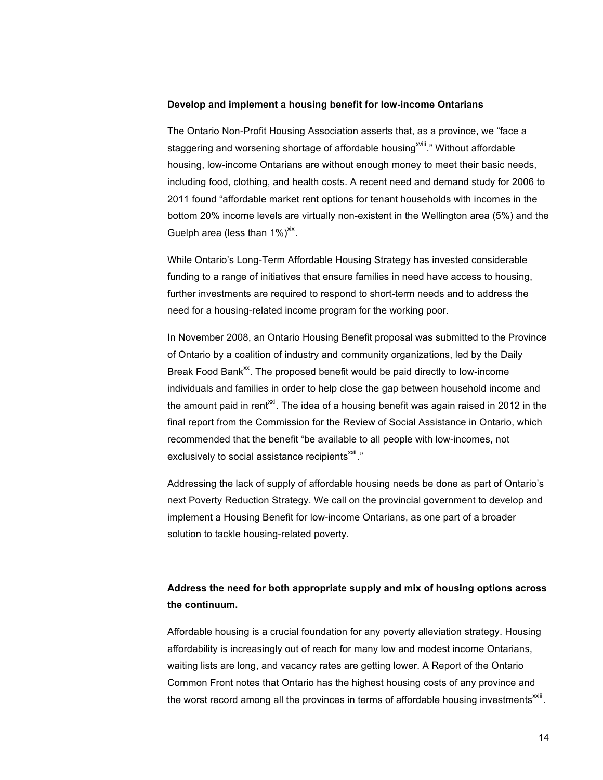#### **Develop and implement a housing benefit for low-income Ontarians**

The Ontario Non-Profit Housing Association asserts that, as a province, we "face a staggering and worsening shortage of affordable housing<sup>xviii</sup>." Without affordable housing, low-income Ontarians are without enough money to meet their basic needs, including food, clothing, and health costs. A recent need and demand study for 2006 to 2011 found "affordable market rent options for tenant households with incomes in the bottom 20% income levels are virtually non-existent in the Wellington area (5%) and the Guelph area (less than  $1\%$ )<sup>xix</sup>.

While Ontario's Long-Term Affordable Housing Strategy has invested considerable funding to a range of initiatives that ensure families in need have access to housing, further investments are required to respond to short-term needs and to address the need for a housing-related income program for the working poor.

In November 2008, an Ontario Housing Benefit proposal was submitted to the Province of Ontario by a coalition of industry and community organizations, led by the Daily Break Food Bank<sup> $x$ </sup>. The proposed benefit would be paid directly to low-income individuals and families in order to help close the gap between household income and the amount paid in rent<sup> $\alpha$ *i*</sup>. The idea of a housing benefit was again raised in 2012 in the final report from the Commission for the Review of Social Assistance in Ontario, which recommended that the benefit "be available to all people with low-incomes, not exclusively to social assistance recipients<sup>xxii</sup>."

Addressing the lack of supply of affordable housing needs be done as part of Ontario's next Poverty Reduction Strategy. We call on the provincial government to develop and implement a Housing Benefit for low-income Ontarians, as one part of a broader solution to tackle housing-related poverty.

## **Address the need for both appropriate supply and mix of housing options across the continuum.**

Affordable housing is a crucial foundation for any poverty alleviation strategy. Housing affordability is increasingly out of reach for many low and modest income Ontarians, waiting lists are long, and vacancy rates are getting lower. A Report of the Ontario Common Front notes that Ontario has the highest housing costs of any province and the worst record among all the provinces in terms of affordable housing investments<sup> $xiii$ </sup>.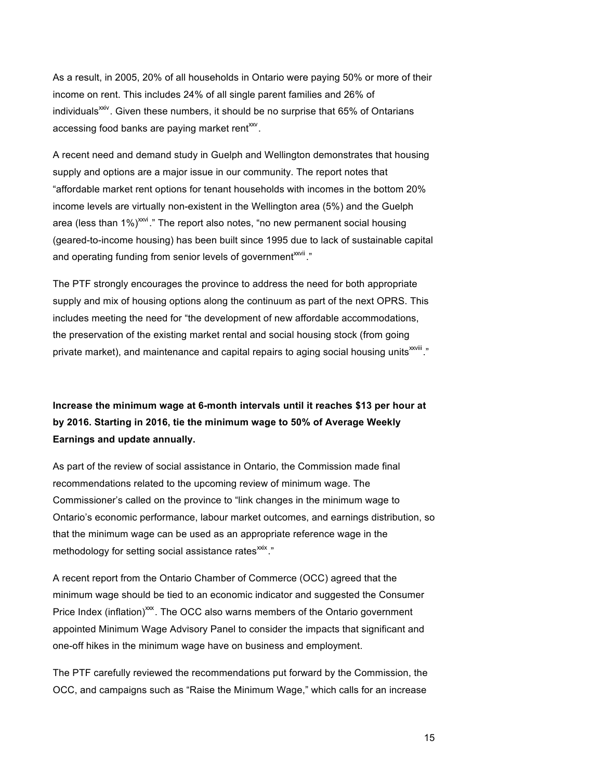As a result, in 2005, 20% of all households in Ontario were paying 50% or more of their income on rent. This includes 24% of all single parent families and 26% of individuals<sup>xxiv</sup>. Given these numbers, it should be no surprise that 65% of Ontarians accessing food banks are paying market rent $x^2$ .

A recent need and demand study in Guelph and Wellington demonstrates that housing supply and options are a major issue in our community. The report notes that "affordable market rent options for tenant households with incomes in the bottom 20% income levels are virtually non-existent in the Wellington area (5%) and the Guelph area (less than  $1\%$ )<sup>xxi</sup>." The report also notes, "no new permanent social housing (geared-to-income housing) has been built since 1995 due to lack of sustainable capital and operating funding from senior levels of government<sup>xxvii</sup>."

The PTF strongly encourages the province to address the need for both appropriate supply and mix of housing options along the continuum as part of the next OPRS. This includes meeting the need for "the development of new affordable accommodations, the preservation of the existing market rental and social housing stock (from going private market), and maintenance and capital repairs to aging social housing units<sup>xxviii</sup>."

**Increase the minimum wage at 6-month intervals until it reaches \$13 per hour at by 2016. Starting in 2016, tie the minimum wage to 50% of Average Weekly Earnings and update annually.** 

As part of the review of social assistance in Ontario, the Commission made final recommendations related to the upcoming review of minimum wage. The Commissioner's called on the province to "link changes in the minimum wage to Ontario's economic performance, labour market outcomes, and earnings distribution, so that the minimum wage can be used as an appropriate reference wage in the methodology for setting social assistance rates<sup>xxix</sup>."

A recent report from the Ontario Chamber of Commerce (OCC) agreed that the minimum wage should be tied to an economic indicator and suggested the Consumer Price Index (inflation)<sup>xxx</sup>. The OCC also warns members of the Ontario government appointed Minimum Wage Advisory Panel to consider the impacts that significant and one-off hikes in the minimum wage have on business and employment.

The PTF carefully reviewed the recommendations put forward by the Commission, the OCC, and campaigns such as "Raise the Minimum Wage," which calls for an increase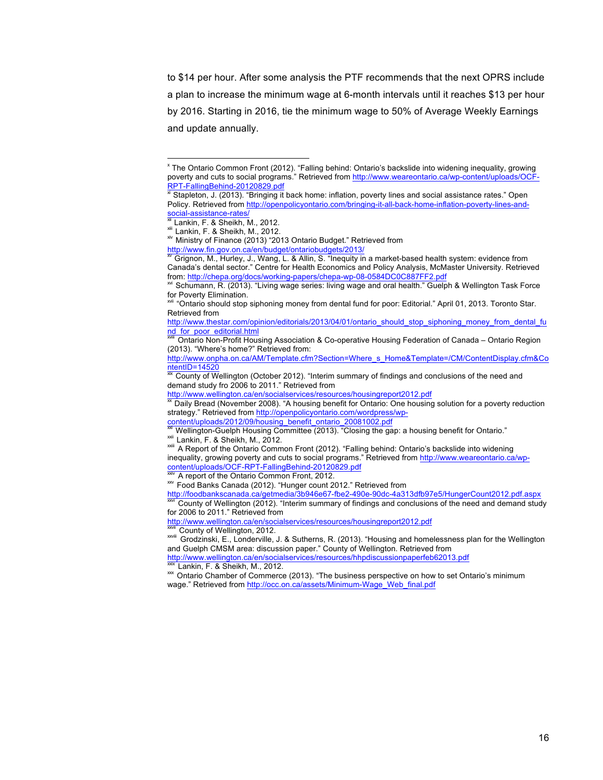to \$14 per hour. After some analysis the PTF recommends that the next OPRS include a plan to increase the minimum wage at 6-month intervals until it reaches \$13 per hour by 2016. Starting in 2016, tie the minimum wage to 50% of Average Weekly Earnings and update annually.

!!!!!!!!!!!!!!!!!!!!!!!!!!!!!!!!!!!!!!!!!!!!!!!!!!!!!!!

for 2006 to 2011." Retrieved from

<sup>x</sup> The Ontario Common Front (2012). "Falling behind: Ontario's backslide into widening inequality, growing poverty and cuts to social programs." Retrieved from http://www.weareontario.ca/wp-content/uploads/OCF-RPT-FallingBehind-20120829.pdf<br>
xi Stapleton, J. (2013). "Bringing it back home: inflation, poverty lines and social assistance rates." Open

Policy. Retrieved from http://openpolicyontario.com/bringing-it-all-back-home-inflation-poverty-lines-and-social-assistance-rates/

<sup>&</sup>lt;sup>xii</sup> Lankin, F. & Sheikh, M., 2012.<br><sup>xii</sup> Lankin, F. & Sheikh, M., 2012.<br><sup>xiv</sup> Ministry of Finance (2013) "2013 Ontario Budget." Retrieved from<br><u>http://www.fin.gov.on.ca/en/budget/ontariobudgets/2013/</u>

Grignon, M., Hurley, J., Wang, L. & Allin, S. "Inequity in a market-based health system: evidence from Canada's dental sector." Centre for Health Economics and Policy Analysis, McMaster University. Retrieved from: http://chepa.org/docs/working-papers/chepa-wp-08-0584DC0C887FF2.pdf

<sup>&</sup>lt;sup>xxi</sup> Schumann, R. (2013). "Living wage series: living wage and oral health." Guelph & Wellington Task Force for Poverty Elimination.

<sup>&</sup>quot;Ontario should stop siphoning money from dental fund for poor: Editorial." April 01, 2013. Toronto Star. Retrieved from

http://www.thestar.com/opinion/editorials/2013/04/01/ontario\_should\_stop\_siphoning\_money\_from\_dental\_fu nd\_for\_poor\_editorial.html

Ontario Non-Profit Housing Association & Co-operative Housing Federation of Canada – Ontario Region (2013). "Where's home?" Retrieved from:

http://www.onpha.on.ca/AM/Template.cfm?Section=Where\_s\_Home&Template=/CM/ContentDisplay.cfm&ContentID=14520<br>ntentID=14520

County of Wellington (October 2012). "Interim summary of findings and conclusions of the need and demand study fro 2006 to 2011." Retrieved from<br>http://www.wellington.ca/en/socialservices/resources/housingreport2012.pdf

Daily Bread (November 2008). "A housing benefit for Ontario: One housing solution for a poverty reduction strategy." Retrieved from http://openpolicyontario.com/wordpress/wpcontent/uploads/2012/09/housing\_benefit\_ontario\_20081002.pdf<br>
Wellington-Guelph Housing Committee (2013). "Closing the gap: a housing benefit for Ontario."

xxii Lankin, F. & Sheikh, M., 2012.<br>
xxii Lankin, F. & Sheikh, M., 2012.<br>
xxii A Report of the Ontario Common Front (2012). "Falling behind: Ontario's backslide into widening

inequality, growing poverty and cuts to social programs." Retrieved from http://www.weareontario.ca/wp-<br>content/uploads/OCF-RPT-FallingBehind-20120829.pdf<br><sup>36V</sup> A report of the Ontario Commes Frest, 2012

 $\frac{x}{200}$  A report of the Ontario Common Front, 2012.<br>  $\frac{x}{200}$  Food Banks Canada (2012). "Hunger count 2012." Retrieved from

http://foodbankscanada.ca/getmedia/3b946e67-fbe2-490e-90dc-4a313dfb97e5/HungerCount2012.pdf.aspx<br><sup>xxvi</sup> County of Wellington (2012). "Interim summary of findings and conclusions of the need and demand study

http://www.wellington.ca/en/socialservices/resources/housingreport2012.pdf<br><sup>380ff</sup> County of Wellington, 2012.

xxvii County of Wellington, 2012. xxviii Grodzinski, E., Londerville, J. & Sutherns, R. (2013). "Housing and homelessness plan for the Wellington and Guelph CMSM area: discussion paper." County of Wellington. Retrieved from

http://www.wellington.ca/en/socialservices/resources/hhpdiscussionpaperfeb62013.pdf <sup>xxix</sup> Lankin, F. & Sheikh, M., 2012.<br><sup>xxx</sup> Ontario Chamber of Commerce (2013). "The business perspective on how to set Ontario's minimum

wage." Retrieved from http://occ.on.ca/assets/Minimum-Wage\_Web\_final.pdf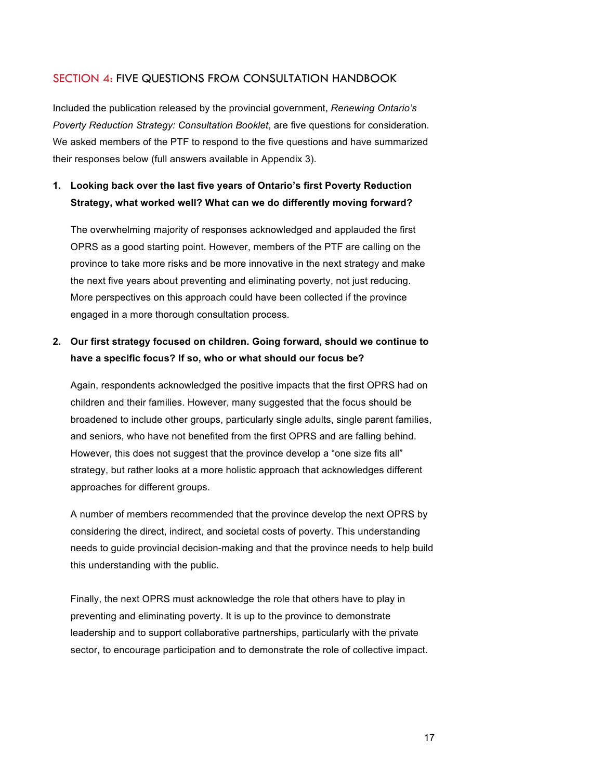### SECTION 4: FIVE QUESTIONS FROM CONSULTATION HANDBOOK

Included the publication released by the provincial government, *Renewing Ontario's Poverty Reduction Strategy: Consultation Booklet*, are five questions for consideration. We asked members of the PTF to respond to the five questions and have summarized their responses below (full answers available in Appendix 3).

## **1. Looking back over the last five years of Ontario's first Poverty Reduction Strategy, what worked well? What can we do differently moving forward?**

The overwhelming majority of responses acknowledged and applauded the first OPRS as a good starting point. However, members of the PTF are calling on the province to take more risks and be more innovative in the next strategy and make the next five years about preventing and eliminating poverty, not just reducing. More perspectives on this approach could have been collected if the province engaged in a more thorough consultation process.

### **2. Our first strategy focused on children. Going forward, should we continue to have a specific focus? If so, who or what should our focus be?**

Again, respondents acknowledged the positive impacts that the first OPRS had on children and their families. However, many suggested that the focus should be broadened to include other groups, particularly single adults, single parent families, and seniors, who have not benefited from the first OPRS and are falling behind. However, this does not suggest that the province develop a "one size fits all" strategy, but rather looks at a more holistic approach that acknowledges different approaches for different groups.

A number of members recommended that the province develop the next OPRS by considering the direct, indirect, and societal costs of poverty. This understanding needs to guide provincial decision-making and that the province needs to help build this understanding with the public.

Finally, the next OPRS must acknowledge the role that others have to play in preventing and eliminating poverty. It is up to the province to demonstrate leadership and to support collaborative partnerships, particularly with the private sector, to encourage participation and to demonstrate the role of collective impact.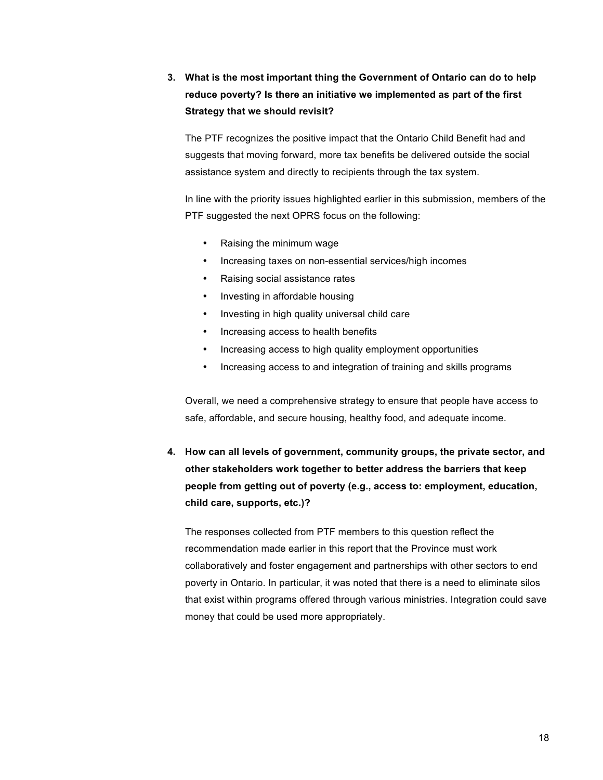**3. What is the most important thing the Government of Ontario can do to help reduce poverty? Is there an initiative we implemented as part of the first Strategy that we should revisit?** 

The PTF recognizes the positive impact that the Ontario Child Benefit had and suggests that moving forward, more tax benefits be delivered outside the social assistance system and directly to recipients through the tax system.

In line with the priority issues highlighted earlier in this submission, members of the PTF suggested the next OPRS focus on the following:

- Raising the minimum wage
- Increasing taxes on non-essential services/high incomes
- Raising social assistance rates
- Investing in affordable housing
- Investing in high quality universal child care
- Increasing access to health benefits
- Increasing access to high quality employment opportunities
- Increasing access to and integration of training and skills programs

Overall, we need a comprehensive strategy to ensure that people have access to safe, affordable, and secure housing, healthy food, and adequate income.

**4. How can all levels of government, community groups, the private sector, and other stakeholders work together to better address the barriers that keep people from getting out of poverty (e.g., access to: employment, education, child care, supports, etc.)?**

The responses collected from PTF members to this question reflect the recommendation made earlier in this report that the Province must work collaboratively and foster engagement and partnerships with other sectors to end poverty in Ontario. In particular, it was noted that there is a need to eliminate silos that exist within programs offered through various ministries. Integration could save money that could be used more appropriately.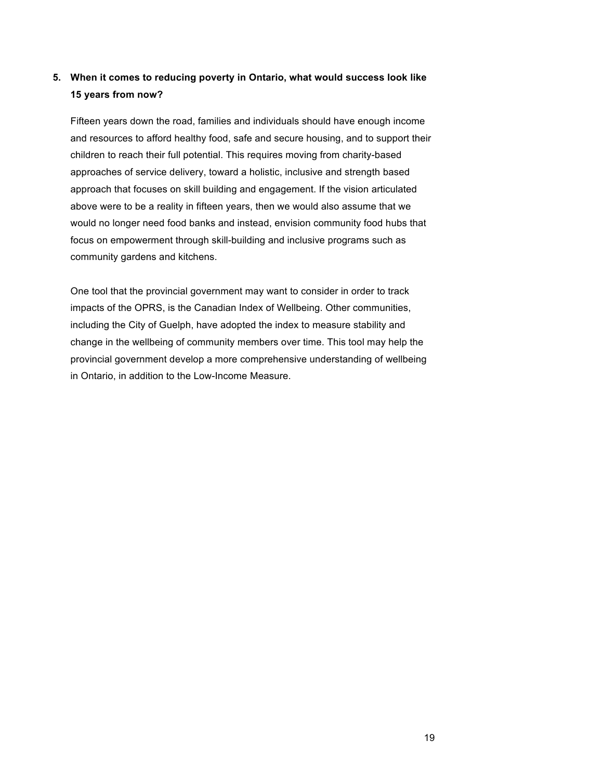## **5. When it comes to reducing poverty in Ontario, what would success look like 15 years from now?**

Fifteen years down the road, families and individuals should have enough income and resources to afford healthy food, safe and secure housing, and to support their children to reach their full potential. This requires moving from charity-based approaches of service delivery, toward a holistic, inclusive and strength based approach that focuses on skill building and engagement. If the vision articulated above were to be a reality in fifteen years, then we would also assume that we would no longer need food banks and instead, envision community food hubs that focus on empowerment through skill-building and inclusive programs such as community gardens and kitchens.

One tool that the provincial government may want to consider in order to track impacts of the OPRS, is the Canadian Index of Wellbeing. Other communities, including the City of Guelph, have adopted the index to measure stability and change in the wellbeing of community members over time. This tool may help the provincial government develop a more comprehensive understanding of wellbeing in Ontario, in addition to the Low-Income Measure.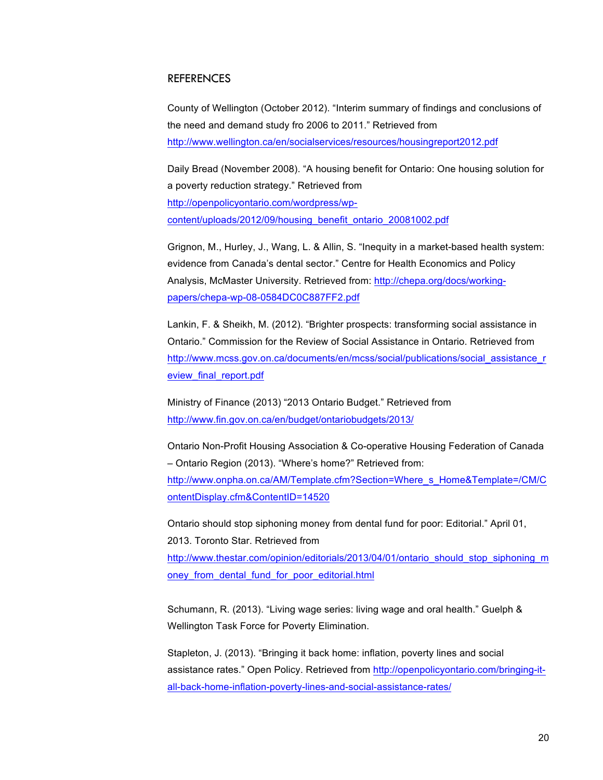### **REFERENCES**

County of Wellington (October 2012). "Interim summary of findings and conclusions of the need and demand study fro 2006 to 2011." Retrieved from http://www.wellington.ca/en/socialservices/resources/housingreport2012.pdf

Daily Bread (November 2008). "A housing benefit for Ontario: One housing solution for a poverty reduction strategy." Retrieved from http://openpolicyontario.com/wordpress/wpcontent/uploads/2012/09/housing\_benefit\_ontario\_20081002.pdf

Grignon, M., Hurley, J., Wang, L. & Allin, S. "Inequity in a market-based health system: evidence from Canada's dental sector." Centre for Health Economics and Policy Analysis, McMaster University. Retrieved from: http://chepa.org/docs/workingpapers/chepa-wp-08-0584DC0C887FF2.pdf

Lankin, F. & Sheikh, M. (2012). "Brighter prospects: transforming social assistance in Ontario." Commission for the Review of Social Assistance in Ontario. Retrieved from http://www.mcss.gov.on.ca/documents/en/mcss/social/publications/social\_assistance\_r eview\_final\_report.pdf

Ministry of Finance (2013) "2013 Ontario Budget." Retrieved from http://www.fin.gov.on.ca/en/budget/ontariobudgets/2013/

Ontario Non-Profit Housing Association & Co-operative Housing Federation of Canada – Ontario Region (2013). "Where's home?" Retrieved from: http://www.onpha.on.ca/AM/Template.cfm?Section=Where\_s\_Home&Template=/CM/C ontentDisplay.cfm&ContentID=14520

Ontario should stop siphoning money from dental fund for poor: Editorial." April 01, 2013. Toronto Star. Retrieved from http://www.thestar.com/opinion/editorials/2013/04/01/ontario\_should\_stop\_siphoning\_m oney from dental fund for poor editorial.html

Schumann, R. (2013). "Living wage series: living wage and oral health." Guelph & Wellington Task Force for Poverty Elimination.

Stapleton, J. (2013). "Bringing it back home: inflation, poverty lines and social assistance rates." Open Policy. Retrieved from http://openpolicyontario.com/bringing-itall-back-home-inflation-poverty-lines-and-social-assistance-rates/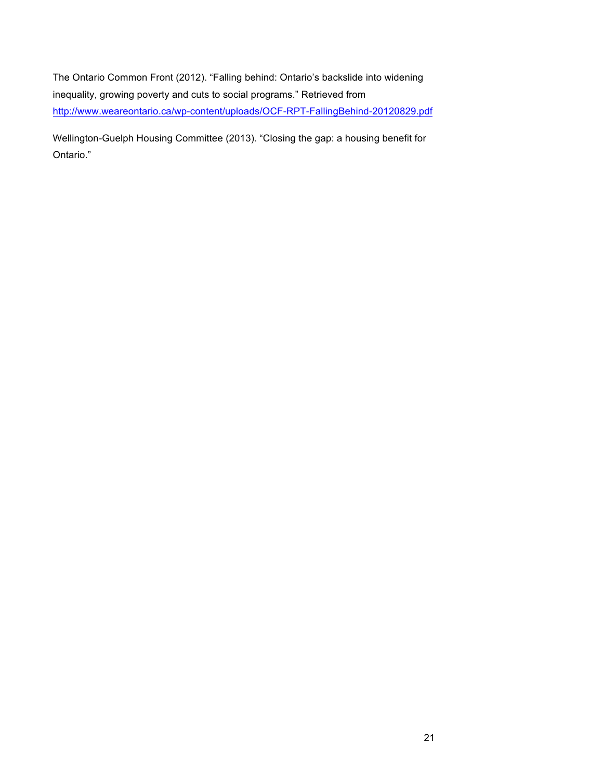The Ontario Common Front (2012). "Falling behind: Ontario's backslide into widening inequality, growing poverty and cuts to social programs." Retrieved from http://www.weareontario.ca/wp-content/uploads/OCF-RPT-FallingBehind-20120829.pdf

Wellington-Guelph Housing Committee (2013). "Closing the gap: a housing benefit for Ontario."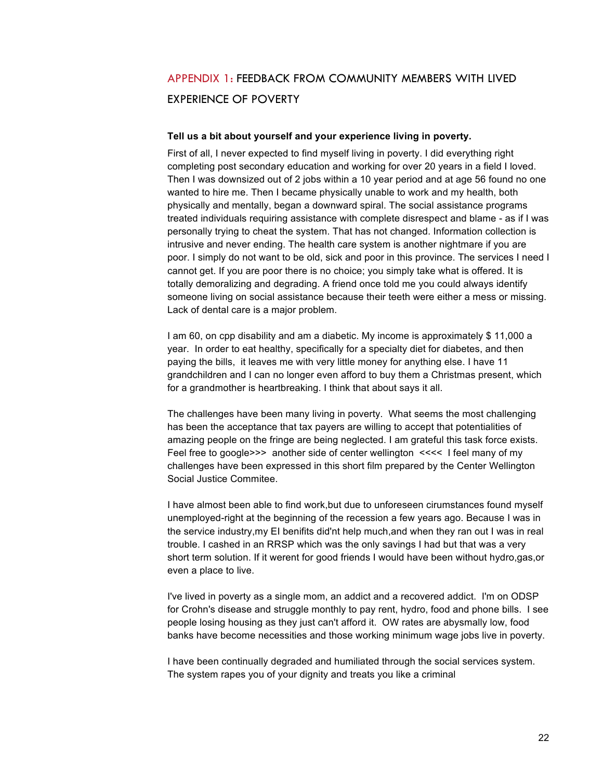# APPENDIX 1: FEEDBACK FROM COMMUNITY MEMBERS WITH LIVED EXPERIENCE OF POVERTY

#### **Tell us a bit about yourself and your experience living in poverty.**

First of all, I never expected to find myself living in poverty. I did everything right completing post secondary education and working for over 20 years in a field I loved. Then I was downsized out of 2 jobs within a 10 year period and at age 56 found no one wanted to hire me. Then I became physically unable to work and my health, both physically and mentally, began a downward spiral. The social assistance programs treated individuals requiring assistance with complete disrespect and blame - as if I was personally trying to cheat the system. That has not changed. Information collection is intrusive and never ending. The health care system is another nightmare if you are poor. I simply do not want to be old, sick and poor in this province. The services I need I cannot get. If you are poor there is no choice; you simply take what is offered. It is totally demoralizing and degrading. A friend once told me you could always identify someone living on social assistance because their teeth were either a mess or missing. Lack of dental care is a major problem.

I am 60, on cpp disability and am a diabetic. My income is approximately \$ 11,000 a year. In order to eat healthy, specifically for a specialty diet for diabetes, and then paying the bills, it leaves me with very little money for anything else. I have 11 grandchildren and I can no longer even afford to buy them a Christmas present, which for a grandmother is heartbreaking. I think that about says it all.

The challenges have been many living in poverty. What seems the most challenging has been the acceptance that tax payers are willing to accept that potentialities of amazing people on the fringe are being neglected. I am grateful this task force exists. Feel free to google>>> another side of center wellington <<<< I feel many of my challenges have been expressed in this short film prepared by the Center Wellington Social Justice Commitee.

I have almost been able to find work,but due to unforeseen cirumstances found myself unemployed-right at the beginning of the recession a few years ago. Because I was in the service industry,my EI benifits did'nt help much,and when they ran out I was in real trouble. I cashed in an RRSP which was the only savings I had but that was a very short term solution. If it werent for good friends I would have been without hydro,gas,or even a place to live.

I've lived in poverty as a single mom, an addict and a recovered addict. I'm on ODSP for Crohn's disease and struggle monthly to pay rent, hydro, food and phone bills. I see people losing housing as they just can't afford it. OW rates are abysmally low, food banks have become necessities and those working minimum wage jobs live in poverty.

I have been continually degraded and humiliated through the social services system. The system rapes you of your dignity and treats you like a criminal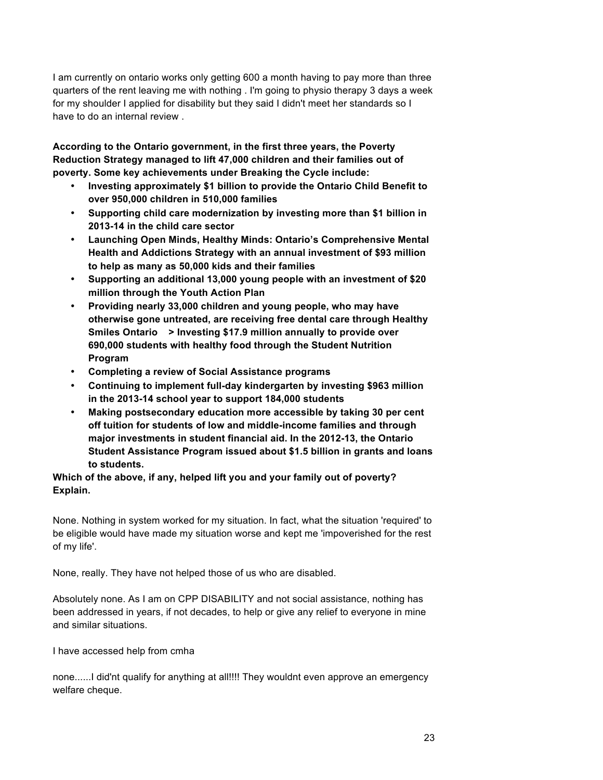I am currently on ontario works only getting 600 a month having to pay more than three quarters of the rent leaving me with nothing . I'm going to physio therapy 3 days a week for my shoulder I applied for disability but they said I didn't meet her standards so I have to do an internal review .

**According to the Ontario government, in the first three years, the Poverty Reduction Strategy managed to lift 47,000 children and their families out of poverty. Some key achievements under Breaking the Cycle include:** 

- **Investing approximately \$1 billion to provide the Ontario Child Benefit to over 950,000 children in 510,000 families**
- **Supporting child care modernization by investing more than \$1 billion in 2013-14 in the child care sector**
- **Launching Open Minds, Healthy Minds: Ontario's Comprehensive Mental Health and Addictions Strategy with an annual investment of \$93 million to help as many as 50,000 kids and their families**
- **Supporting an additional 13,000 young people with an investment of \$20 million through the Youth Action Plan**
- **Providing nearly 33,000 children and young people, who may have otherwise gone untreated, are receiving free dental care through Healthy Smiles Ontario > Investing \$17.9 million annually to provide over 690,000 students with healthy food through the Student Nutrition Program**
- **Completing a review of Social Assistance programs**
- **Continuing to implement full-day kindergarten by investing \$963 million in the 2013-14 school year to support 184,000 students**
- **Making postsecondary education more accessible by taking 30 per cent off tuition for students of low and middle-income families and through major investments in student financial aid. In the 2012-13, the Ontario Student Assistance Program issued about \$1.5 billion in grants and loans to students.**

**Which of the above, if any, helped lift you and your family out of poverty? Explain.** 

None. Nothing in system worked for my situation. In fact, what the situation 'required' to be eligible would have made my situation worse and kept me 'impoverished for the rest of my life'.

None, really. They have not helped those of us who are disabled.

Absolutely none. As I am on CPP DISABILITY and not social assistance, nothing has been addressed in years, if not decades, to help or give any relief to everyone in mine and similar situations.

I have accessed help from cmha

none......I did'nt qualify for anything at all!!!! They wouldnt even approve an emergency welfare cheque.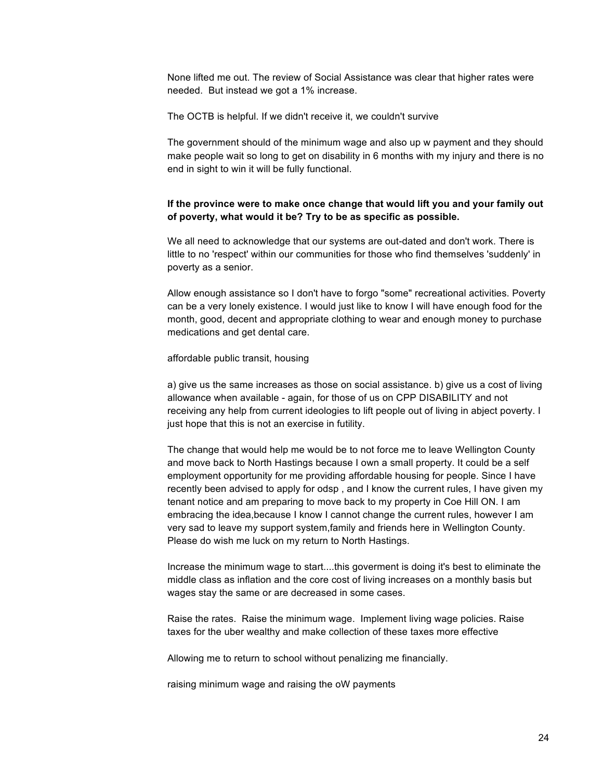None lifted me out. The review of Social Assistance was clear that higher rates were needed. But instead we got a 1% increase.

The OCTB is helpful. If we didn't receive it, we couldn't survive

The government should of the minimum wage and also up w payment and they should make people wait so long to get on disability in 6 months with my injury and there is no end in sight to win it will be fully functional.

### **If the province were to make once change that would lift you and your family out of poverty, what would it be? Try to be as specific as possible.**

We all need to acknowledge that our systems are out-dated and don't work. There is little to no 'respect' within our communities for those who find themselves 'suddenly' in poverty as a senior.

Allow enough assistance so I don't have to forgo "some" recreational activities. Poverty can be a very lonely existence. I would just like to know I will have enough food for the month, good, decent and appropriate clothing to wear and enough money to purchase medications and get dental care.

#### affordable public transit, housing

a) give us the same increases as those on social assistance. b) give us a cost of living allowance when available - again, for those of us on CPP DISABILITY and not receiving any help from current ideologies to lift people out of living in abject poverty. I just hope that this is not an exercise in futility.

The change that would help me would be to not force me to leave Wellington County and move back to North Hastings because I own a small property. It could be a self employment opportunity for me providing affordable housing for people. Since I have recently been advised to apply for odsp , and I know the current rules, I have given my tenant notice and am preparing to move back to my property in Coe Hill ON. I am embracing the idea,because I know I cannot change the current rules, however I am very sad to leave my support system,family and friends here in Wellington County. Please do wish me luck on my return to North Hastings.

Increase the minimum wage to start....this goverment is doing it's best to eliminate the middle class as inflation and the core cost of living increases on a monthly basis but wages stay the same or are decreased in some cases.

Raise the rates. Raise the minimum wage. Implement living wage policies. Raise taxes for the uber wealthy and make collection of these taxes more effective

Allowing me to return to school without penalizing me financially.

raising minimum wage and raising the oW payments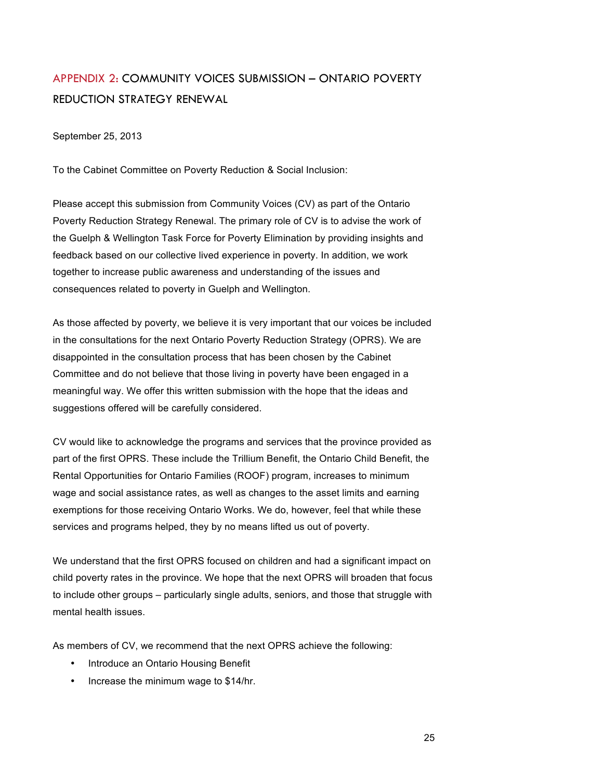# APPENDIX 2: COMMUNITY VOICES SUBMISSION – ONTARIO POVERTY REDUCTION STRATEGY RENEWAL

September 25, 2013

To the Cabinet Committee on Poverty Reduction & Social Inclusion:

Please accept this submission from Community Voices (CV) as part of the Ontario Poverty Reduction Strategy Renewal. The primary role of CV is to advise the work of the Guelph & Wellington Task Force for Poverty Elimination by providing insights and feedback based on our collective lived experience in poverty. In addition, we work together to increase public awareness and understanding of the issues and consequences related to poverty in Guelph and Wellington.

As those affected by poverty, we believe it is very important that our voices be included in the consultations for the next Ontario Poverty Reduction Strategy (OPRS). We are disappointed in the consultation process that has been chosen by the Cabinet Committee and do not believe that those living in poverty have been engaged in a meaningful way. We offer this written submission with the hope that the ideas and suggestions offered will be carefully considered.

CV would like to acknowledge the programs and services that the province provided as part of the first OPRS. These include the Trillium Benefit, the Ontario Child Benefit, the Rental Opportunities for Ontario Families (ROOF) program, increases to minimum wage and social assistance rates, as well as changes to the asset limits and earning exemptions for those receiving Ontario Works. We do, however, feel that while these services and programs helped, they by no means lifted us out of poverty.

We understand that the first OPRS focused on children and had a significant impact on child poverty rates in the province. We hope that the next OPRS will broaden that focus to include other groups – particularly single adults, seniors, and those that struggle with mental health issues.

As members of CV, we recommend that the next OPRS achieve the following:

- Introduce an Ontario Housing Benefit
- Increase the minimum wage to \$14/hr.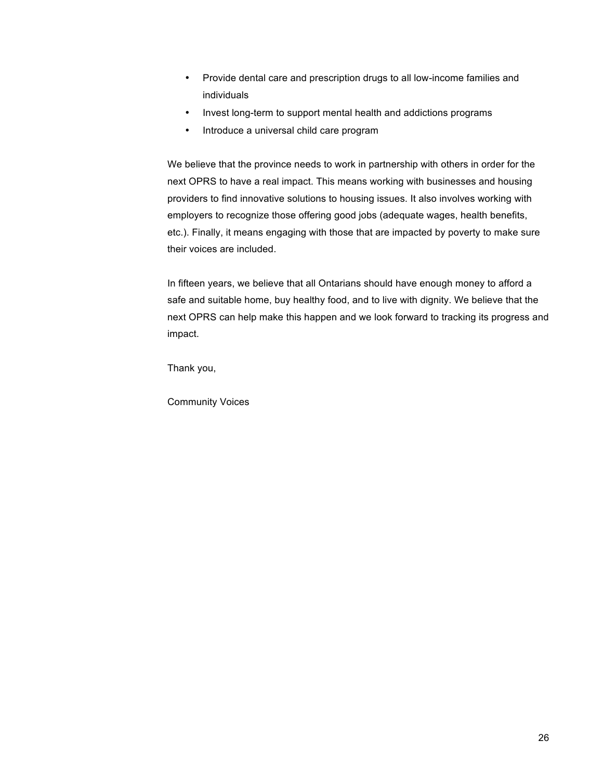- Provide dental care and prescription drugs to all low-income families and individuals
- Invest long-term to support mental health and addictions programs
- Introduce a universal child care program

We believe that the province needs to work in partnership with others in order for the next OPRS to have a real impact. This means working with businesses and housing providers to find innovative solutions to housing issues. It also involves working with employers to recognize those offering good jobs (adequate wages, health benefits, etc.). Finally, it means engaging with those that are impacted by poverty to make sure their voices are included.

In fifteen years, we believe that all Ontarians should have enough money to afford a safe and suitable home, buy healthy food, and to live with dignity. We believe that the next OPRS can help make this happen and we look forward to tracking its progress and impact.

Thank you,

Community Voices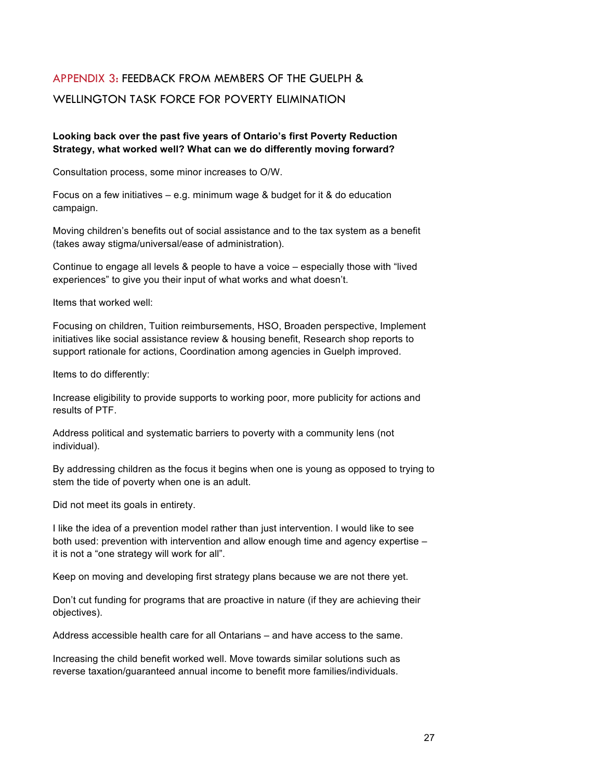# APPENDIX 3: FEEDBACK FROM MEMBERS OF THE GUELPH & WELLINGTON TASK FORCE FOR POVERTY ELIMINATION

### **Looking back over the past five years of Ontario's first Poverty Reduction Strategy, what worked well? What can we do differently moving forward?**

Consultation process, some minor increases to O/W.

Focus on a few initiatives – e.g. minimum wage & budget for it & do education campaign.

Moving children's benefits out of social assistance and to the tax system as a benefit (takes away stigma/universal/ease of administration).

Continue to engage all levels & people to have a voice – especially those with "lived experiences" to give you their input of what works and what doesn't.

Items that worked well:

Focusing on children, Tuition reimbursements, HSO, Broaden perspective, Implement initiatives like social assistance review & housing benefit, Research shop reports to support rationale for actions, Coordination among agencies in Guelph improved.

Items to do differently:

Increase eligibility to provide supports to working poor, more publicity for actions and results of PTF.

Address political and systematic barriers to poverty with a community lens (not individual).

By addressing children as the focus it begins when one is young as opposed to trying to stem the tide of poverty when one is an adult.

Did not meet its goals in entirety.

I like the idea of a prevention model rather than just intervention. I would like to see both used: prevention with intervention and allow enough time and agency expertise – it is not a "one strategy will work for all".

Keep on moving and developing first strategy plans because we are not there yet.

Don't cut funding for programs that are proactive in nature (if they are achieving their objectives).

Address accessible health care for all Ontarians – and have access to the same.

Increasing the child benefit worked well. Move towards similar solutions such as reverse taxation/guaranteed annual income to benefit more families/individuals.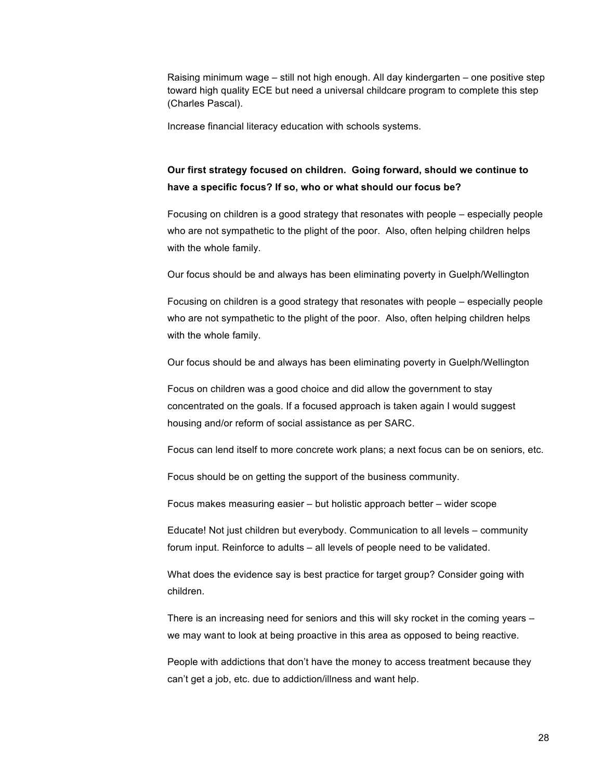Raising minimum wage – still not high enough. All day kindergarten – one positive step toward high quality ECE but need a universal childcare program to complete this step (Charles Pascal).

Increase financial literacy education with schools systems.

## **Our first strategy focused on children. Going forward, should we continue to have a specific focus? If so, who or what should our focus be?**

Focusing on children is a good strategy that resonates with people – especially people who are not sympathetic to the plight of the poor. Also, often helping children helps with the whole family.

Our focus should be and always has been eliminating poverty in Guelph/Wellington

Focusing on children is a good strategy that resonates with people – especially people who are not sympathetic to the plight of the poor. Also, often helping children helps with the whole family.

Our focus should be and always has been eliminating poverty in Guelph/Wellington

Focus on children was a good choice and did allow the government to stay concentrated on the goals. If a focused approach is taken again I would suggest housing and/or reform of social assistance as per SARC.

Focus can lend itself to more concrete work plans; a next focus can be on seniors, etc.

Focus should be on getting the support of the business community.

Focus makes measuring easier – but holistic approach better – wider scope

Educate! Not just children but everybody. Communication to all levels – community forum input. Reinforce to adults – all levels of people need to be validated.

What does the evidence say is best practice for target group? Consider going with children.

There is an increasing need for seniors and this will sky rocket in the coming years – we may want to look at being proactive in this area as opposed to being reactive.

People with addictions that don't have the money to access treatment because they can't get a job, etc. due to addiction/illness and want help.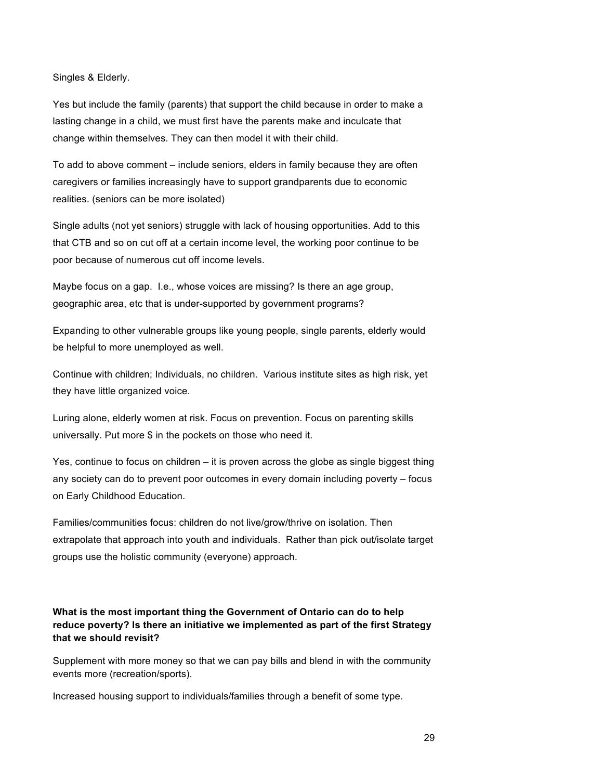Singles & Elderly.

Yes but include the family (parents) that support the child because in order to make a lasting change in a child, we must first have the parents make and inculcate that change within themselves. They can then model it with their child.

To add to above comment – include seniors, elders in family because they are often caregivers or families increasingly have to support grandparents due to economic realities. (seniors can be more isolated)

Single adults (not yet seniors) struggle with lack of housing opportunities. Add to this that CTB and so on cut off at a certain income level, the working poor continue to be poor because of numerous cut off income levels.

Maybe focus on a gap. I.e., whose voices are missing? Is there an age group, geographic area, etc that is under-supported by government programs?

Expanding to other vulnerable groups like young people, single parents, elderly would be helpful to more unemployed as well.

Continue with children; Individuals, no children. Various institute sites as high risk, yet they have little organized voice.

Luring alone, elderly women at risk. Focus on prevention. Focus on parenting skills universally. Put more \$ in the pockets on those who need it.

Yes, continue to focus on children – it is proven across the globe as single biggest thing any society can do to prevent poor outcomes in every domain including poverty – focus on Early Childhood Education.

Families/communities focus: children do not live/grow/thrive on isolation. Then extrapolate that approach into youth and individuals. Rather than pick out/isolate target groups use the holistic community (everyone) approach.

### **What is the most important thing the Government of Ontario can do to help reduce poverty? Is there an initiative we implemented as part of the first Strategy that we should revisit?**

Supplement with more money so that we can pay bills and blend in with the community events more (recreation/sports).

Increased housing support to individuals/families through a benefit of some type.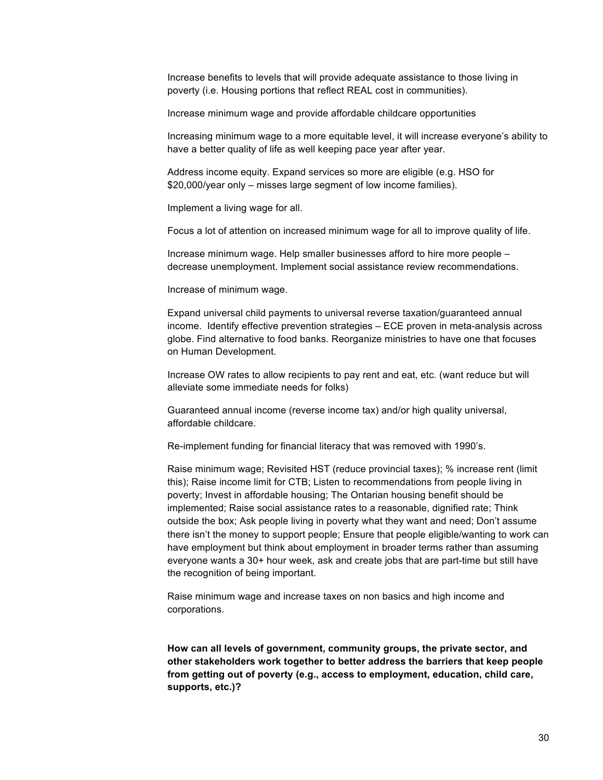Increase benefits to levels that will provide adequate assistance to those living in poverty (i.e. Housing portions that reflect REAL cost in communities).

Increase minimum wage and provide affordable childcare opportunities

Increasing minimum wage to a more equitable level, it will increase everyone's ability to have a better quality of life as well keeping pace year after year.

Address income equity. Expand services so more are eligible (e.g. HSO for \$20,000/year only – misses large segment of low income families).

Implement a living wage for all.

Focus a lot of attention on increased minimum wage for all to improve quality of life.

Increase minimum wage. Help smaller businesses afford to hire more people – decrease unemployment. Implement social assistance review recommendations.

Increase of minimum wage.

Expand universal child payments to universal reverse taxation/guaranteed annual income. Identify effective prevention strategies – ECE proven in meta-analysis across globe. Find alternative to food banks. Reorganize ministries to have one that focuses on Human Development.

Increase OW rates to allow recipients to pay rent and eat, etc. (want reduce but will alleviate some immediate needs for folks)

Guaranteed annual income (reverse income tax) and/or high quality universal, affordable childcare.

Re-implement funding for financial literacy that was removed with 1990's.

Raise minimum wage; Revisited HST (reduce provincial taxes); % increase rent (limit this); Raise income limit for CTB; Listen to recommendations from people living in poverty; Invest in affordable housing; The Ontarian housing benefit should be implemented; Raise social assistance rates to a reasonable, dignified rate; Think outside the box; Ask people living in poverty what they want and need; Don't assume there isn't the money to support people; Ensure that people eligible/wanting to work can have employment but think about employment in broader terms rather than assuming everyone wants a 30+ hour week, ask and create jobs that are part-time but still have the recognition of being important.

Raise minimum wage and increase taxes on non basics and high income and corporations.

**How can all levels of government, community groups, the private sector, and other stakeholders work together to better address the barriers that keep people from getting out of poverty (e.g., access to employment, education, child care, supports, etc.)?**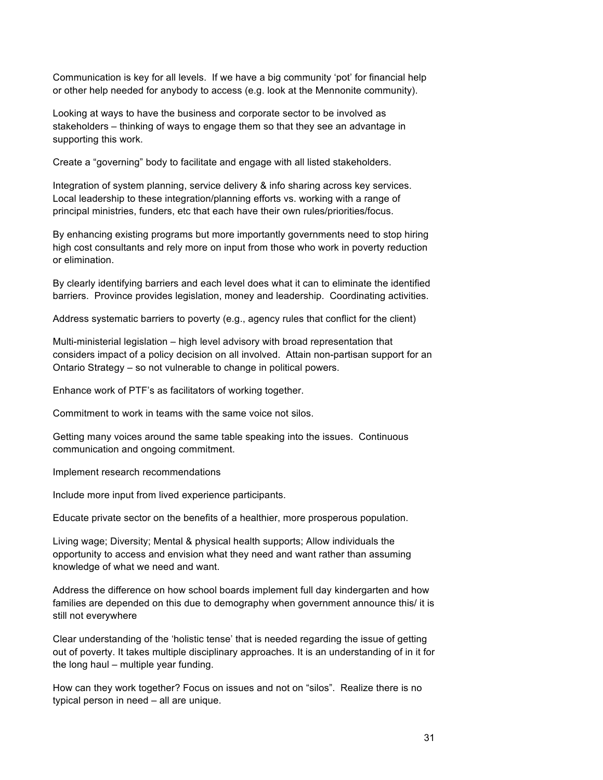Communication is key for all levels. If we have a big community 'pot' for financial help or other help needed for anybody to access (e.g. look at the Mennonite community).

Looking at ways to have the business and corporate sector to be involved as stakeholders – thinking of ways to engage them so that they see an advantage in supporting this work.

Create a "governing" body to facilitate and engage with all listed stakeholders.

Integration of system planning, service delivery & info sharing across key services. Local leadership to these integration/planning efforts vs. working with a range of principal ministries, funders, etc that each have their own rules/priorities/focus.

By enhancing existing programs but more importantly governments need to stop hiring high cost consultants and rely more on input from those who work in poverty reduction or elimination.

By clearly identifying barriers and each level does what it can to eliminate the identified barriers. Province provides legislation, money and leadership. Coordinating activities.

Address systematic barriers to poverty (e.g., agency rules that conflict for the client)

Multi-ministerial legislation – high level advisory with broad representation that considers impact of a policy decision on all involved. Attain non-partisan support for an Ontario Strategy – so not vulnerable to change in political powers.

Enhance work of PTF's as facilitators of working together.

Commitment to work in teams with the same voice not silos.

Getting many voices around the same table speaking into the issues. Continuous communication and ongoing commitment.

Implement research recommendations

Include more input from lived experience participants.

Educate private sector on the benefits of a healthier, more prosperous population.

Living wage; Diversity; Mental & physical health supports; Allow individuals the opportunity to access and envision what they need and want rather than assuming knowledge of what we need and want.

Address the difference on how school boards implement full day kindergarten and how families are depended on this due to demography when government announce this/ it is still not everywhere

Clear understanding of the 'holistic tense' that is needed regarding the issue of getting out of poverty. It takes multiple disciplinary approaches. It is an understanding of in it for the long haul – multiple year funding.

How can they work together? Focus on issues and not on "silos". Realize there is no typical person in need – all are unique.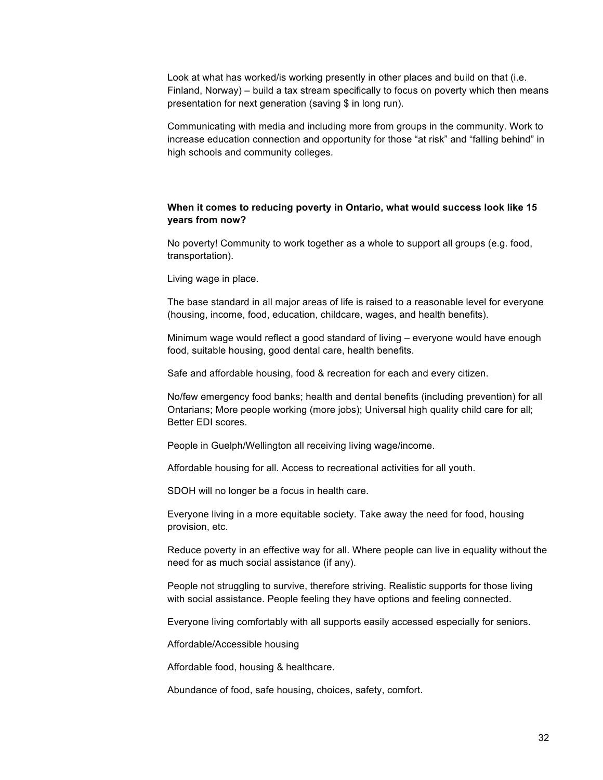Look at what has worked/is working presently in other places and build on that (i.e. Finland, Norway) – build a tax stream specifically to focus on poverty which then means presentation for next generation (saving \$ in long run).

Communicating with media and including more from groups in the community. Work to increase education connection and opportunity for those "at risk" and "falling behind" in high schools and community colleges.

#### **When it comes to reducing poverty in Ontario, what would success look like 15 years from now?**

No poverty! Community to work together as a whole to support all groups (e.g. food, transportation).

Living wage in place.

The base standard in all major areas of life is raised to a reasonable level for everyone (housing, income, food, education, childcare, wages, and health benefits).

Minimum wage would reflect a good standard of living – everyone would have enough food, suitable housing, good dental care, health benefits.

Safe and affordable housing, food & recreation for each and every citizen.

No/few emergency food banks; health and dental benefits (including prevention) for all Ontarians; More people working (more jobs); Universal high quality child care for all; Better EDI scores.

People in Guelph/Wellington all receiving living wage/income.

Affordable housing for all. Access to recreational activities for all youth.

SDOH will no longer be a focus in health care.

Everyone living in a more equitable society. Take away the need for food, housing provision, etc.

Reduce poverty in an effective way for all. Where people can live in equality without the need for as much social assistance (if any).

People not struggling to survive, therefore striving. Realistic supports for those living with social assistance. People feeling they have options and feeling connected.

Everyone living comfortably with all supports easily accessed especially for seniors.

Affordable/Accessible housing

Affordable food, housing & healthcare.

Abundance of food, safe housing, choices, safety, comfort.